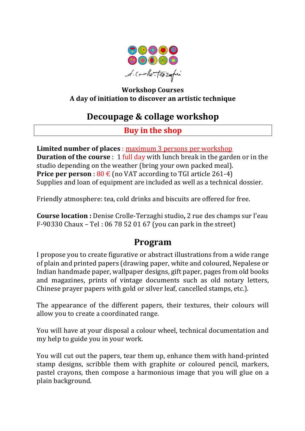

### **Workshop Courses A day of initiation to discover an artistic technique**

# **Decoupage & collage workshop**

## **Buy in the shop**

**Limited number of places** : maximum 3 persons per workshop **Duration of the course**: 1 full day with lunch break in the garden or in the studio depending on the weather (bring your own packed meal). **Price per person** :  $80 \text{ } \in \text{(no } \text{VAT according to TGI article } 261-4)$ Supplies and loan of equipment are included as well as a technical dossier.

Friendly atmosphere: tea, cold drinks and biscuits are offered for free.

**Course location** : Denise Crolle-Terzaghi studio, 2 rue des champs sur l'eau F-90330 Chaux – Tel: 06 78 52 01 67 (you can park in the street)

## **Program**

I propose you to create figurative or abstract illustrations from a wide range of plain and printed papers (drawing paper, white and coloured, Nepalese or Indian handmade paper, wallpaper designs, gift paper, pages from old books and magazines, prints of vintage documents such as old notary letters, Chinese prayer papers with gold or silver leaf, cancelled stamps, etc.).

The appearance of the different papers, their textures, their colours will allow you to create a coordinated range.

You will have at your disposal a colour wheel, technical documentation and my help to guide you in your work.

You will cut out the papers, tear them up, enhance them with hand-printed stamp designs, scribble them with graphite or coloured pencil, markers, pastel crayons, then compose a harmonious image that you will glue on a plain background.